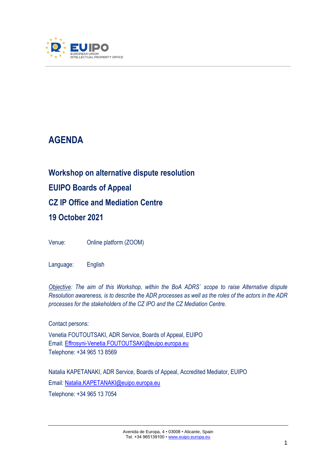

# **AGENDA**

# **Workshop on alternative dispute resolution EUIPO Boards of Appeal CZ IP Office and Mediation Centre 19 October 2021**

Venue: Online platform (ZOOM)

Language: English

*Objective: The aim of this Workshop, within the BoA ADRS´ scope to raise Alternative dispute Resolution awareness, is to describe the ADR processes as well as the roles of the actors in the ADR processes for the stakeholders of the CZ IPO and the CZ Mediation Centre.* 

Contact persons: Venetia FOUTOUTSAKI, ADR Service, Boards of Appeal, EUIPO Email: [Effrosyni-Venetia.FOUTOUTSAKI@euipo.europa.eu](mailto:Effrosyni-Venetia.FOUTOUTSAKI@euipo.europa.eu) Telephone: +34 965 13 8569

Natalia KAPETANAKI, ADR Service, Boards of Appeal, Accredited Mediator, EUIPO Email*:* [Natalia.KAPETANAKI@euipo.europa.eu](mailto:Natalia.KAPETANAKI@euipo.europa.eu) Telephone: +34 965 13 7054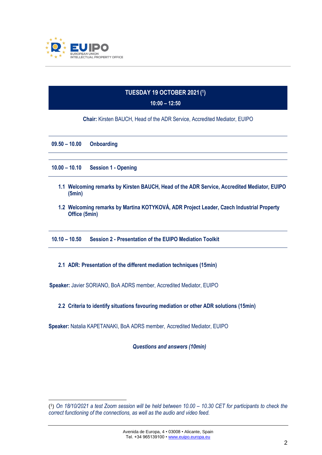

# **TUESDAY 19 OCTOBER 2021 ( 1 )**

### **10:00 – 12:50**

**Chair:** Kirsten BAUCH, Head of the ADR Service, Accredited Mediator, EUIPO

| $09.50 - 10.00$                                                                                           | <b>Onboarding</b>          |
|-----------------------------------------------------------------------------------------------------------|----------------------------|
|                                                                                                           |                            |
| $10.00 - 10.10$                                                                                           | <b>Session 1 - Opening</b> |
| 1.1 Welcoming remarks by Kirsten BAUCH, Head of the ADR Service, Accredited Mediator, EUIPO<br>(5min)     |                            |
| 1.2 Welcoming remarks by Martina KOTYKOVÁ, ADR Project Leader, Czech Industrial Property<br>Office (5min) |                            |
| $10.10 - 10.50$<br><b>Session 2 - Presentation of the EUIPO Mediation Toolkit</b>                         |                            |

## **2.1 ADR: Presentation of the different mediation techniques (15min)**

**Speaker:** Javier SORIANO, BoA ADRS member, Accredited Mediator, EUIPO

## **2.2 Criteria to identify situations favouring mediation or other ADR solutions (15min)**

**Speaker:** Natalia KAPETANAKI, BoA ADRS member, Accredited Mediator, EUIPO

*Questions and answers (10min)*

<sup>(1)</sup> On 18/10/2021 a test Zoom session will be held between 10.00 – 10.30 CET for participants to check the *correct functioning of the connections, as well as the audio and video feed.*